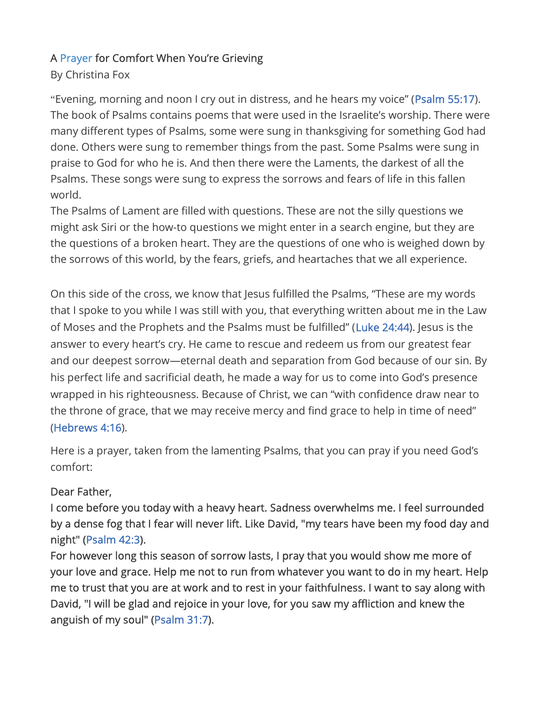## A Prayer for Comfort When You're Grieving

## By Christina Fox

"Evening, morning and noon I cry out in distress, and he hears my voice" (Psalm 55:17). The book of Psalms contains poems that were used in the Israelite's worship. There were many different types of Psalms, some were sung in thanksgiving for something God had done. Others were sung to remember things from the past. Some Psalms were sung in praise to God for who he is. And then there were the Laments, the darkest of all the Psalms. These songs were sung to express the sorrows and fears of life in this fallen world.

The Psalms of Lament are filled with questions. These are not the silly questions we might ask Siri or the how-to questions we might enter in a search engine, but they are the questions of a broken heart. They are the questions of one who is weighed down by the sorrows of this world, by the fears, griefs, and heartaches that we all experience.

On this side of the cross, we know that Jesus fulfilled the Psalms, "These are my words that I spoke to you while I was still with you, that everything written about me in the Law of Moses and the Prophets and the Psalms must be fulfilled" (Luke 24:44). Jesus is the answer to every heart's cry. He came to rescue and redeem us from our greatest fear and our deepest sorrow—eternal death and separation from God because of our sin. By his perfect life and sacrificial death, he made a way for us to come into God's presence wrapped in his righteousness. Because of Christ, we can "with confidence draw near to the throne of grace, that we may receive mercy and find grace to help in time of need" (Hebrews 4:16).

Here is a prayer, taken from the lamenting Psalms, that you can pray if you need God's comfort:

## Dear Father,

I come before you today with a heavy heart. Sadness overwhelms me. I feel surrounded by a dense fog that I fear will never lift. Like David, "my tears have been my food day and night" (Psalm 42:3).

For however long this season of sorrow lasts, I pray that you would show me more of your love and grace. Help me not to run from whatever you want to do in my heart. Help me to trust that you are at work and to rest in your faithfulness. I want to say along with David, "I will be glad and rejoice in your love, for you saw my affliction and knew the anguish of my soul" (Psalm 31:7).